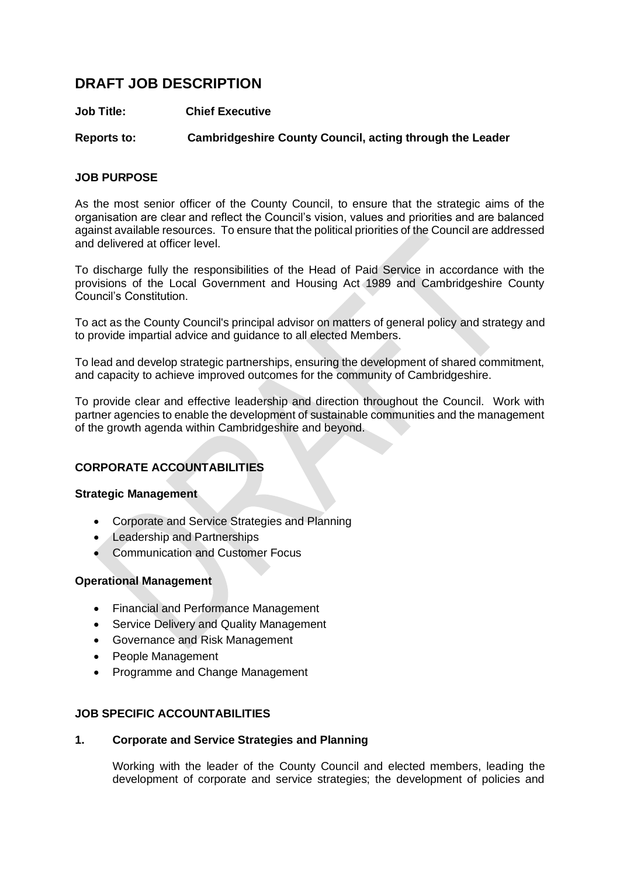# **DRAFT JOB DESCRIPTION**

## **Job Title: Chief Executive**

# **Reports to: Cambridgeshire County Council, acting through the Leader**

# **JOB PURPOSE**

As the most senior officer of the County Council, to ensure that the strategic aims of the organisation are clear and reflect the Council's vision, values and priorities and are balanced against available resources. To ensure that the political priorities of the Council are addressed and delivered at officer level.

To discharge fully the responsibilities of the Head of Paid Service in accordance with the provisions of the Local Government and Housing Act 1989 and Cambridgeshire County Council's Constitution.

To act as the County Council's principal advisor on matters of general policy and strategy and to provide impartial advice and guidance to all elected Members.

To lead and develop strategic partnerships, ensuring the development of shared commitment, and capacity to achieve improved outcomes for the community of Cambridgeshire.

To provide clear and effective leadership and direction throughout the Council. Work with partner agencies to enable the development of sustainable communities and the management of the growth agenda within Cambridgeshire and beyond.

# **CORPORATE ACCOUNTABILITIES**

## **Strategic Management**

- Corporate and Service Strategies and Planning
- Leadership and Partnerships
- Communication and Customer Focus

## **Operational Management**

- Financial and Performance Management
- Service Delivery and Quality Management
- Governance and Risk Management
- People Management
- Programme and Change Management

## **JOB SPECIFIC ACCOUNTABILITIES**

## **1. Corporate and Service Strategies and Planning**

Working with the leader of the County Council and elected members, leading the development of corporate and service strategies; the development of policies and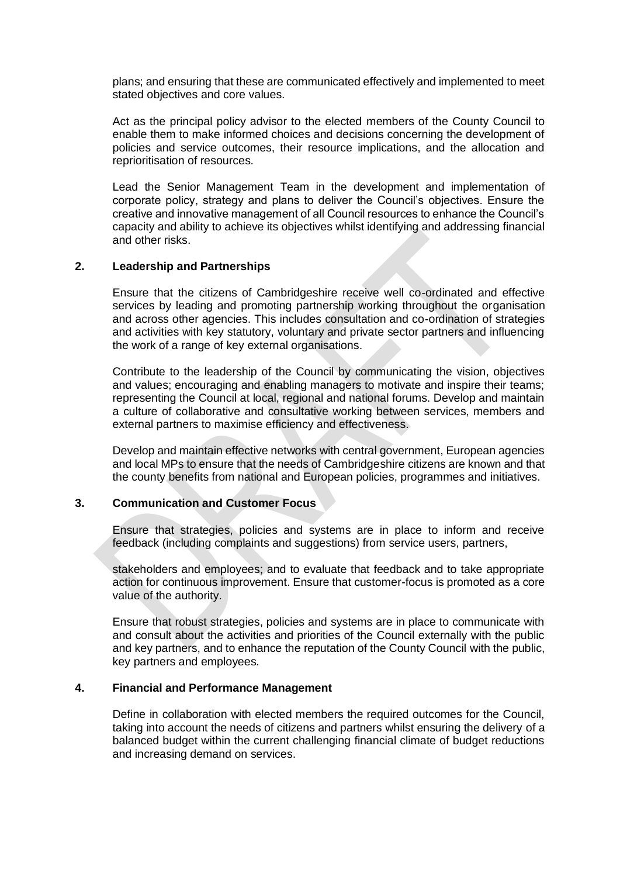plans; and ensuring that these are communicated effectively and implemented to meet stated objectives and core values.

Act as the principal policy advisor to the elected members of the County Council to enable them to make informed choices and decisions concerning the development of policies and service outcomes, their resource implications, and the allocation and reprioritisation of resources.

Lead the Senior Management Team in the development and implementation of corporate policy, strategy and plans to deliver the Council's objectives. Ensure the creative and innovative management of all Council resources to enhance the Council's capacity and ability to achieve its objectives whilst identifying and addressing financial and other risks.

#### **2. Leadership and Partnerships**

Ensure that the citizens of Cambridgeshire receive well co-ordinated and effective services by leading and promoting partnership working throughout the organisation and across other agencies. This includes consultation and co-ordination of strategies and activities with key statutory, voluntary and private sector partners and influencing the work of a range of key external organisations.

Contribute to the leadership of the Council by communicating the vision, objectives and values; encouraging and enabling managers to motivate and inspire their teams; representing the Council at local, regional and national forums. Develop and maintain a culture of collaborative and consultative working between services, members and external partners to maximise efficiency and effectiveness.

Develop and maintain effective networks with central government, European agencies and local MPs to ensure that the needs of Cambridgeshire citizens are known and that the county benefits from national and European policies, programmes and initiatives.

#### **3. Communication and Customer Focus**

Ensure that strategies, policies and systems are in place to inform and receive feedback (including complaints and suggestions) from service users, partners,

stakeholders and employees; and to evaluate that feedback and to take appropriate action for continuous improvement. Ensure that customer-focus is promoted as a core value of the authority.

Ensure that robust strategies, policies and systems are in place to communicate with and consult about the activities and priorities of the Council externally with the public and key partners, and to enhance the reputation of the County Council with the public, key partners and employees.

#### **4. Financial and Performance Management**

Define in collaboration with elected members the required outcomes for the Council, taking into account the needs of citizens and partners whilst ensuring the delivery of a balanced budget within the current challenging financial climate of budget reductions and increasing demand on services.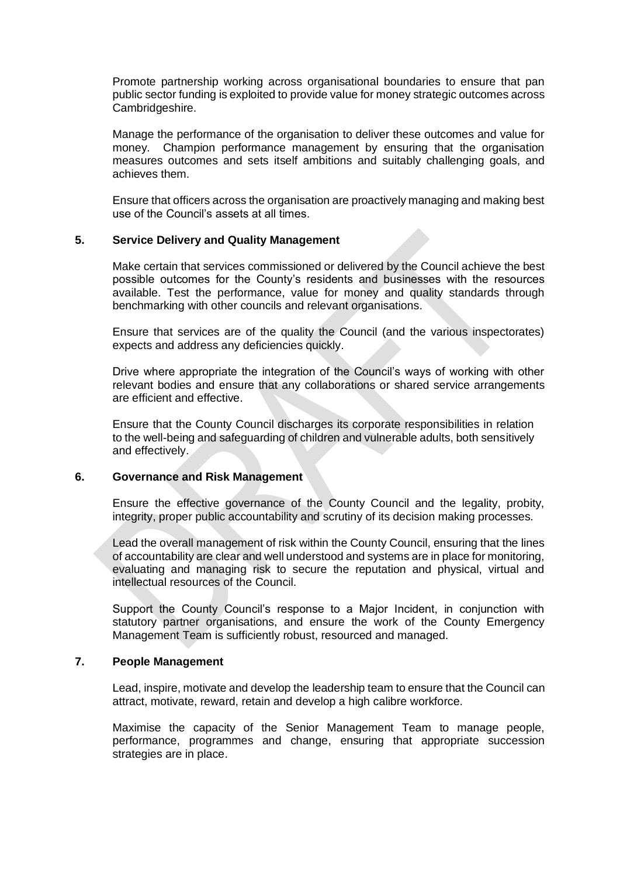Promote partnership working across organisational boundaries to ensure that pan public sector funding is exploited to provide value for money strategic outcomes across Cambridgeshire.

Manage the performance of the organisation to deliver these outcomes and value for money. Champion performance management by ensuring that the organisation measures outcomes and sets itself ambitions and suitably challenging goals, and achieves them.

Ensure that officers across the organisation are proactively managing and making best use of the Council's assets at all times.

#### **5. Service Delivery and Quality Management**

Make certain that services commissioned or delivered by the Council achieve the best possible outcomes for the County's residents and businesses with the resources available. Test the performance, value for money and quality standards through benchmarking with other councils and relevant organisations.

Ensure that services are of the quality the Council (and the various inspectorates) expects and address any deficiencies quickly.

Drive where appropriate the integration of the Council's ways of working with other relevant bodies and ensure that any collaborations or shared service arrangements are efficient and effective.

Ensure that the County Council discharges its corporate responsibilities in relation to the well-being and safeguarding of children and vulnerable adults, both sensitively and effectively.

#### **6. Governance and Risk Management**

Ensure the effective governance of the County Council and the legality, probity, integrity, proper public accountability and scrutiny of its decision making processes.

Lead the overall management of risk within the County Council, ensuring that the lines of accountability are clear and well understood and systems are in place for monitoring, evaluating and managing risk to secure the reputation and physical, virtual and intellectual resources of the Council.

Support the County Council's response to a Major Incident, in conjunction with statutory partner organisations, and ensure the work of the County Emergency Management Team is sufficiently robust, resourced and managed.

## **7. People Management**

Lead, inspire, motivate and develop the leadership team to ensure that the Council can attract, motivate, reward, retain and develop a high calibre workforce.

Maximise the capacity of the Senior Management Team to manage people, performance, programmes and change, ensuring that appropriate succession strategies are in place.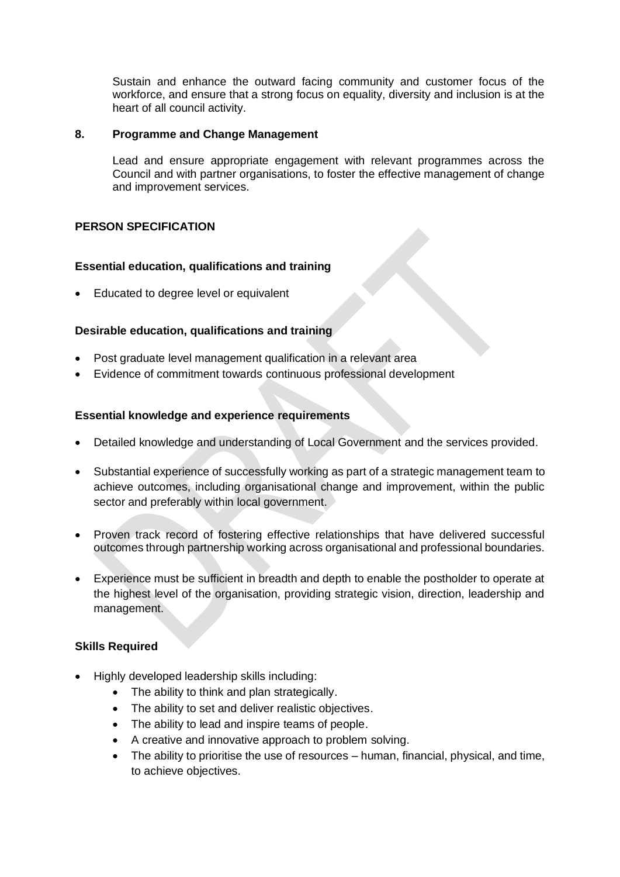Sustain and enhance the outward facing community and customer focus of the workforce, and ensure that a strong focus on equality, diversity and inclusion is at the heart of all council activity.

## **8. Programme and Change Management**

Lead and ensure appropriate engagement with relevant programmes across the Council and with partner organisations, to foster the effective management of change and improvement services.

# **PERSON SPECIFICATION**

## **Essential education, qualifications and training**

• Educated to degree level or equivalent

# **Desirable education, qualifications and training**

- Post graduate level management qualification in a relevant area
- Evidence of commitment towards continuous professional development

## **Essential knowledge and experience requirements**

- Detailed knowledge and understanding of Local Government and the services provided.
- Substantial experience of successfully working as part of a strategic management team to achieve outcomes, including organisational change and improvement, within the public sector and preferably within local government.
- Proven track record of fostering effective relationships that have delivered successful outcomes through partnership working across organisational and professional boundaries.
- Experience must be sufficient in breadth and depth to enable the postholder to operate at the highest level of the organisation, providing strategic vision, direction, leadership and management.

## **Skills Required**

- Highly developed leadership skills including:
	- The ability to think and plan strategically.
	- The ability to set and deliver realistic objectives.
	- The ability to lead and inspire teams of people.
	- A creative and innovative approach to problem solving.
	- The ability to prioritise the use of resources human, financial, physical, and time, to achieve objectives.